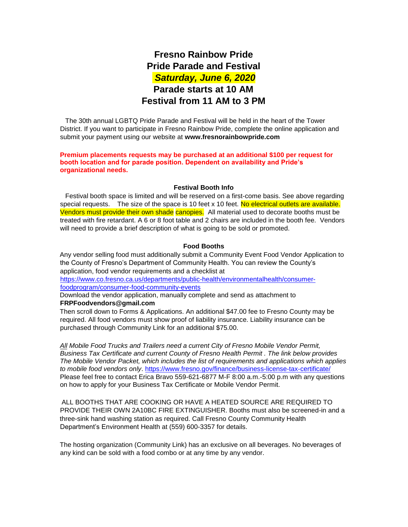# **Fresno Rainbow Pride Pride Parade and Festival**  *Saturday, June 6, 2020* **Parade starts at 10 AM Festival from 11 AM to 3 PM**

 The 30th annual LGBTQ Pride Parade and Festival will be held in the heart of the Tower District. If you want to participate in Fresno Rainbow Pride, complete the online application and submit your payment using our website at **www.fresnorainbowpride.com** 

**Premium placements requests may be purchased at an additional \$100 per request for booth location and for parade position. Dependent on availability and Pride's organizational needs.** 

#### **Festival Booth Info**

 Festival booth space is limited and will be reserved on a first-come basis. See above regarding special requests. The size of the space is 10 feet  $x$  10 feet. No electrical outlets are available. Vendors must provide their own shade canopies. All material used to decorate booths must be treated with fire retardant. A 6 or 8 foot table and 2 chairs are included in the booth fee. Vendors will need to provide a brief description of what is going to be sold or promoted.

#### **Food Booths**

Any vendor selling food must additionally submit a Community Event Food Vendor Application to the County of Fresno's Department of Community Health. You can review the County's application, food vendor requirements and a checklist at

[https://www.co.fresno.ca.us/departments/public-health/environmentalhealth/consumer](https://www.co.fresno.ca.us/departments/public-health/environmental-health/consumer-food-program/consumer-food-community-events)[foodprogram/consumer-food-community-events](https://www.co.fresno.ca.us/departments/public-health/environmental-health/consumer-food-program/consumer-food-community-events) 

Download the vendor application, manually complete and send as attachment to **FRPFoodvendors@gmail.com**

Then scroll down to Forms & Applications. An additional \$47.00 fee to Fresno County may be required. All food vendors must show proof of liability insurance. Liability insurance can be purchased through Community Link for an additional \$75.00.

*All Mobile Food Trucks and Trailers need a current City of Fresno Mobile Vendor Permit, Business Tax Certificate and current County of Fresno Health Permit . The link below provides The Mobile Vendor Packet, which includes the list of requirements and applications which applies to mobile food vendors only*.<https://www.fresno.gov/finance/business-license-tax-certificate/> Please feel free to contact Erica Bravo 559-621-6877 M-F 8:00 a.m.-5:00 p.m with any questions on how to apply for your Business Tax Certificate or Mobile Vendor Permit.

ALL BOOTHS THAT ARE COOKING OR HAVE A HEATED SOURCE ARE REQUIRED TO PROVIDE THEIR OWN 2A10BC FIRE EXTINGUISHER. Booths must also be screened-in and a three-sink hand washing station as required. Call Fresno County Community Health Department's Environment Health at (559) 600-3357 for details.

The hosting organization (Community Link) has an exclusive on all beverages. No beverages of any kind can be sold with a food combo or at any time by any vendor.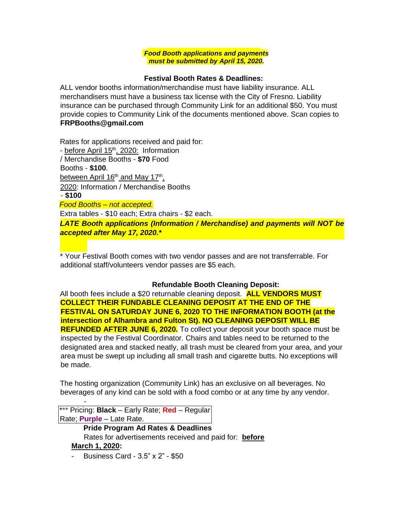*Food Booth applications and payments must be submitted by April 15, 2020.* 

# **Festival Booth Rates & Deadlines:**

ALL vendor booths information/merchandise must have liability insurance. ALL merchandisers must have a business tax license with the City of Fresno. Liability insurance can be purchased through Community Link for an additional \$50. You must provide copies to Community Link of the documents mentioned above. Scan copies to **FRPBooths@gmail.com**

Rates for applications received and paid for: - before April 15<sup>th</sup>, 2020: Information / Merchandise Booths - **\$70** Food Booths - **\$100**. between April 16<sup>th</sup> and May 17<sup>th</sup>, 2020: Information / Merchandise Booths - **\$100** *Food Booths – not accepted.* Extra tables - \$10 each; Extra chairs - \$2 each. *LATE Booth applications (Information / Merchandise) and payments will NOT be accepted after May 17, 2020.\**

\* Your Festival Booth comes with two vendor passes and are not transferrable. For additional staff/volunteers vendor passes are \$5 each.

# **Refundable Booth Cleaning Deposit:**

All booth fees include a \$20 returnable cleaning deposit. **ALL VENDORS MUST COLLECT THEIR FUNDABLE CLEANING DEPOSIT AT THE END OF THE FESTIVAL ON SATURDAY JUNE 6, 2020 TO THE INFORMATION BOOTH (at the intersection of Alhambra and Fulton St). NO CLEANING DEPOSIT WILL BE REFUNDED AFTER JUNE 6, 2020.** To collect your deposit your booth space must be inspected by the Festival Coordinator. Chairs and tables need to be returned to the designated area and stacked neatly, all trash must be cleared from your area, and your area must be swept up including all small trash and cigarette butts. No exceptions will be made.

The hosting organization (Community Link) has an exclusive on all beverages. No beverages of any kind can be sold with a food combo or at any time by any vendor.

\*\*\* Pricing: **Black** – Early Rate; **Red** – Regular Rate; **Purple** – Late Rate.

-

**Pride Program Ad Rates & Deadlines**  Rates for advertisements received and paid for: **before March 1, 2020:** 

- Business Card - 3.5" x 2" - \$50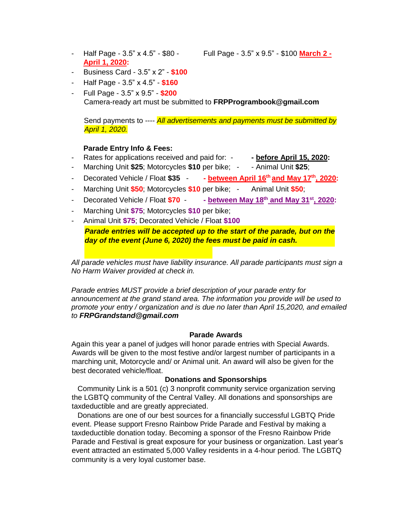**April 1, 2020:** 

- Half Page - 3.5" x 4.5" - \$80 - Full Page - 3.5" x 9.5" - \$100 **March 2 -**

- Business Card 3.5" x 2" **\$100**
- Half Page 3.5" x 4.5" **\$160**
- Full Page 3.5" x 9.5" **\$200** Camera-ready art must be submitted to **[FRPProgrambook@gmail.com](mailto:FRPProgrambook@gmail.com)**

Send payments to ---- *All advertisements and payments must be submitted by April 1, 2020.*

#### **Parade Entry Info & Fees:**

- Rates for applications received and paid for: **- before April 15, 2020:**
- Marching Unit **\$25**; Motorcycles **\$10** per bike; - Animal Unit **\$25**;
- Decorated Vehicle / Float **\$35 - between April 16th and May 17th, 2020:**
- Marching Unit **\$50**; Motorcycles **\$10** per bike; Animal Unit **\$50**;
- Decorated Vehicle / Float **\$70 - between May 18th and May 31st, 2020:**
- Marching Unit \$75; Motorcycles \$10 per bike;
- Animal Unit **\$75**; Decorated Vehicle / Float **\$100**

**Parade entries will be accepted up to the start of the parade, but on the** *day of the event (June 6, 2020) the fees must be paid in cash.*

*All parade vehicles must have liability insurance. All parade participants must sign a No Harm Waiver provided at check in.* 

*Parade entries MUST provide a brief description of your parade entry for announcement at the grand stand area. The information you provide will be used to promote your entry / organization and is due no later than April 15,2020, and emailed to FRPGrandstand@gmail.com*

## **Parade Awards**

Again this year a panel of judges will honor parade entries with Special Awards. Awards will be given to the most festive and/or largest number of participants in a marching unit, Motorcycle and/ or Animal unit. An award will also be given for the best decorated vehicle/float.

#### **Donations and Sponsorships**

 Community Link is a 501 (c) 3 nonprofit community service organization serving the LGBTQ community of the Central Valley. All donations and sponsorships are taxdeductible and are greatly appreciated.

 Donations are one of our best sources for a financially successful LGBTQ Pride event. Please support Fresno Rainbow Pride Parade and Festival by making a taxdeductible donation today. Becoming a sponsor of the Fresno Rainbow Pride Parade and Festival is great exposure for your business or organization. Last year's event attracted an estimated 5,000 Valley residents in a 4-hour period. The LGBTQ community is a very loyal customer base.